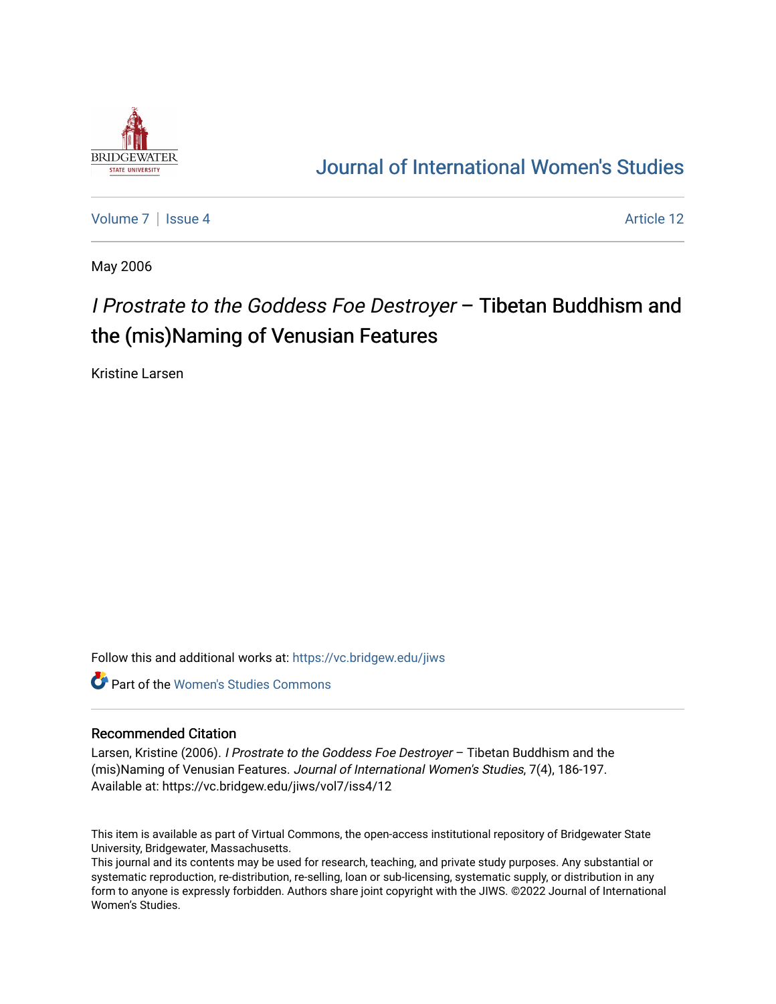

## [Journal of International Women's Studies](https://vc.bridgew.edu/jiws)

[Volume 7](https://vc.bridgew.edu/jiws/vol7) | [Issue 4](https://vc.bridgew.edu/jiws/vol7/iss4) Article 12

May 2006

# I Prostrate to the Goddess Foe Destroyer – Tibetan Buddhism and the (mis)Naming of Venusian Features

Kristine Larsen

Follow this and additional works at: [https://vc.bridgew.edu/jiws](https://vc.bridgew.edu/jiws?utm_source=vc.bridgew.edu%2Fjiws%2Fvol7%2Fiss4%2F12&utm_medium=PDF&utm_campaign=PDFCoverPages)

**C** Part of the Women's Studies Commons

#### Recommended Citation

Larsen, Kristine (2006). *I Prostrate to the Goddess Foe Destroyer* - Tibetan Buddhism and the (mis)Naming of Venusian Features. Journal of International Women's Studies, 7(4), 186-197. Available at: https://vc.bridgew.edu/jiws/vol7/iss4/12

This item is available as part of Virtual Commons, the open-access institutional repository of Bridgewater State University, Bridgewater, Massachusetts.

This journal and its contents may be used for research, teaching, and private study purposes. Any substantial or systematic reproduction, re-distribution, re-selling, loan or sub-licensing, systematic supply, or distribution in any form to anyone is expressly forbidden. Authors share joint copyright with the JIWS. ©2022 Journal of International Women's Studies.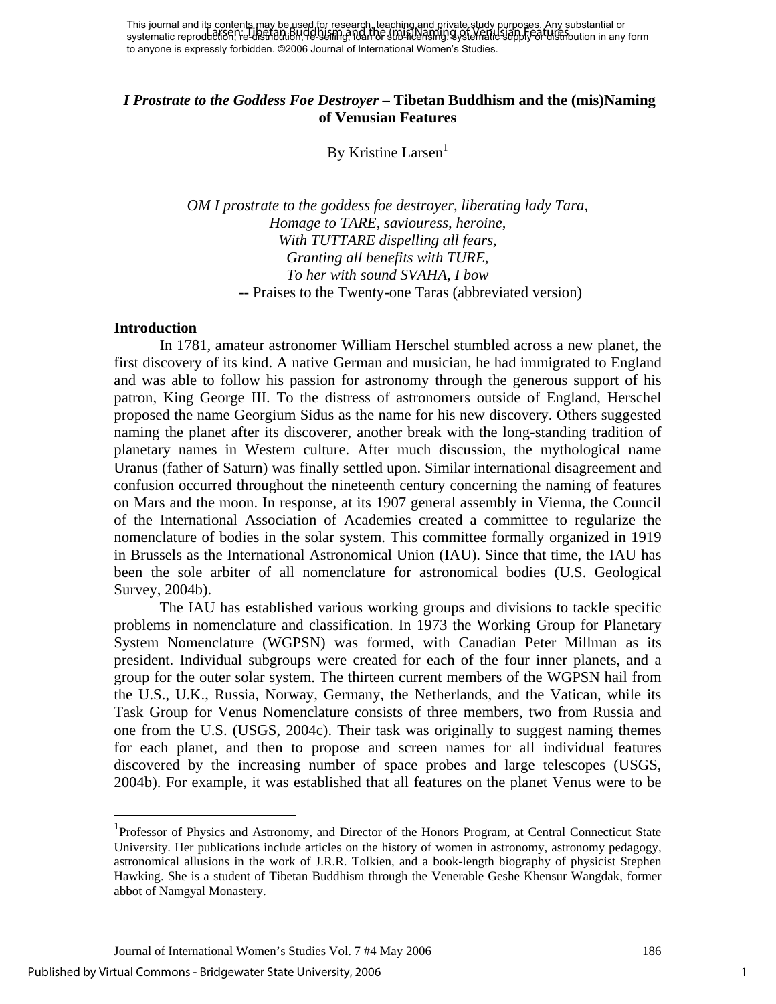## *I Prostrate to the Goddess Foe Destroyer* **– Tibetan Buddhism and the (mis)Naming of Venusian Features**

By Kristine Larsen

*OM I prostrate to the goddess foe destroyer, liberating lady Tara, Homage to TARE, saviouress, heroine, With TUTTARE dispelling all fears, Granting all benefits with TURE, To her with sound SVAHA, I bow*  -- Praises to the Twenty-one Taras (abbreviated version)

#### **Introduction**

In 1781, amateur astronomer William Herschel stumbled across a new planet, the first discovery of its kind. A native German and musician, he had immigrated to England and was able to follow his passion for astronomy through the generous support of his patron, King George III. To the distress of astronomers outside of England, Herschel proposed the name Georgium Sidus as the name for his new discovery. Others suggested naming the planet after its discoverer, another break with the long-standing tradition of planetary names in Western culture. After much discussion, the mythological name Uranus (father of Saturn) was finally settled upon. Similar international disagreement and confusion occurred throughout the nineteenth century concerning the naming of features on Mars and the moon. In response, at its 1907 general assembly in Vienna, the Council of the International Association of Academies created a committee to regularize the nomenclature of bodies in the solar system. This committee formally organized in 1919 in Brussels as the International Astronomical Union (IAU). Since that time, the IAU has been the sole arbiter of all nomenclature for astronomical bodies (U.S. Geological Survey, 2004b).

The IAU has established various working groups and divisions to tackle specific problems in nomenclature and classification. In 1973 the Working Group for Planetary System Nomenclature (WGPSN) was formed, with Canadian Peter Millman as its president. Individual subgroups were created for each of the four inner planets, and a group for the outer solar system. The thirteen current members of the WGPSN hail from the U.S., U.K., Russia, Norway, Germany, the Netherlands, and the Vatican, while its Task Group for Venus Nomenclature consists of three members, two from Russia and one from the U.S. (USGS, 2004c). Their task was originally to suggest naming themes for each planet, and then to propose and screen names for all individual features discovered by the increasing number of space probes and large telescopes (USGS, 2004b). For example, it was established that all features on the planet Venus were to be

1

<span id="page-1-0"></span><sup>&</sup>lt;sup>1</sup>Professor of Physics and Astronomy, and Director of the Honors Program, at Central Connecticut State University. Her publications include articles on the history of women in astronomy, astronomy pedagogy, astronomical allusions in the work of J.R.R. Tolkien, and a book-length biography of physicist Stephen Hawking. She is a student of Tibetan Buddhism through the Venerable Geshe Khensur Wangdak, former abbot of Namgyal Monastery.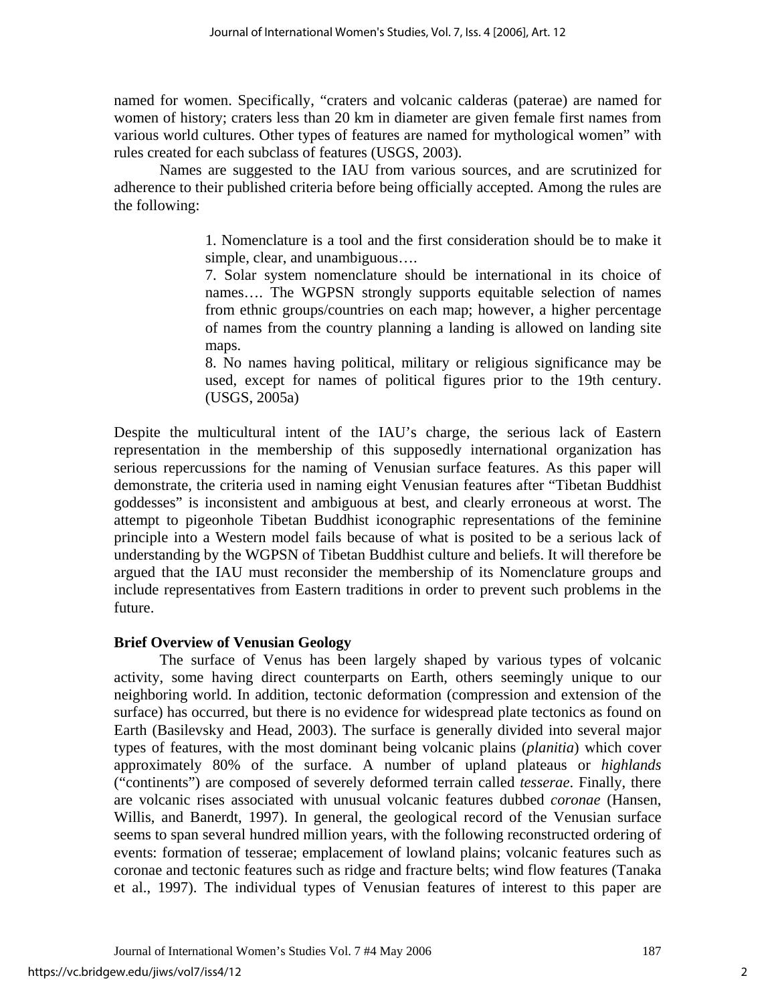named for women. Specifically, "craters and volcanic calderas (paterae) are named for women of history; craters less than 20 km in diameter are given female first names from various world cultures. Other types of features are named for mythological women" with rules created for each subclass of features (USGS, 2003).

Names are suggested to the IAU from various sources, and are scrutinized for adherence to their published criteria before being officially accepted. Among the rules are the following:

> 1. Nomenclature is a tool and the first consideration should be to make it simple, clear, and unambiguous….

> 7. Solar system nomenclature should be international in its choice of names…. The WGPSN strongly supports equitable selection of names from ethnic groups/countries on each map; however, a higher percentage of names from the country planning a landing is allowed on landing site maps.

> 8. No names having political, military or religious significance may be used, except for names of political figures prior to the 19th century. (USGS, 2005a)

Despite the multicultural intent of the IAU's charge, the serious lack of Eastern representation in the membership of this supposedly international organization has serious repercussions for the naming of Venusian surface features. As this paper will demonstrate, the criteria used in naming eight Venusian features after "Tibetan Buddhist goddesses" is inconsistent and ambiguous at best, and clearly erroneous at worst. The attempt to pigeonhole Tibetan Buddhist iconographic representations of the feminine principle into a Western model fails because of what is posited to be a serious lack of understanding by the WGPSN of Tibetan Buddhist culture and beliefs. It will therefore be argued that the IAU must reconsider the membership of its Nomenclature groups and include representatives from Eastern traditions in order to prevent such problems in the future.

## **Brief Overview of Venusian Geology**

The surface of Venus has been largely shaped by various types of volcanic activity, some having direct counterparts on Earth, others seemingly unique to our neighboring world. In addition, tectonic deformation (compression and extension of the surface) has occurred, but there is no evidence for widespread plate tectonics as found on Earth (Basilevsky and Head, 2003). The surface is generally divided into several major types of features, with the most dominant being volcanic plains (*planitia*) which cover approximately 80% of the surface. A number of upland plateaus or *highlands* ("continents") are composed of severely deformed terrain called *tesserae*. Finally, there are volcanic rises associated with unusual volcanic features dubbed *coronae* (Hansen, Willis, and Banerdt, 1997). In general, the geological record of the Venusian surface seems to span several hundred million years, with the following reconstructed ordering of events: formation of tesserae; emplacement of lowland plains; volcanic features such as coronae and tectonic features such as ridge and fracture belts; wind flow features (Tanaka et al., 1997). The individual types of Venusian features of interest to this paper are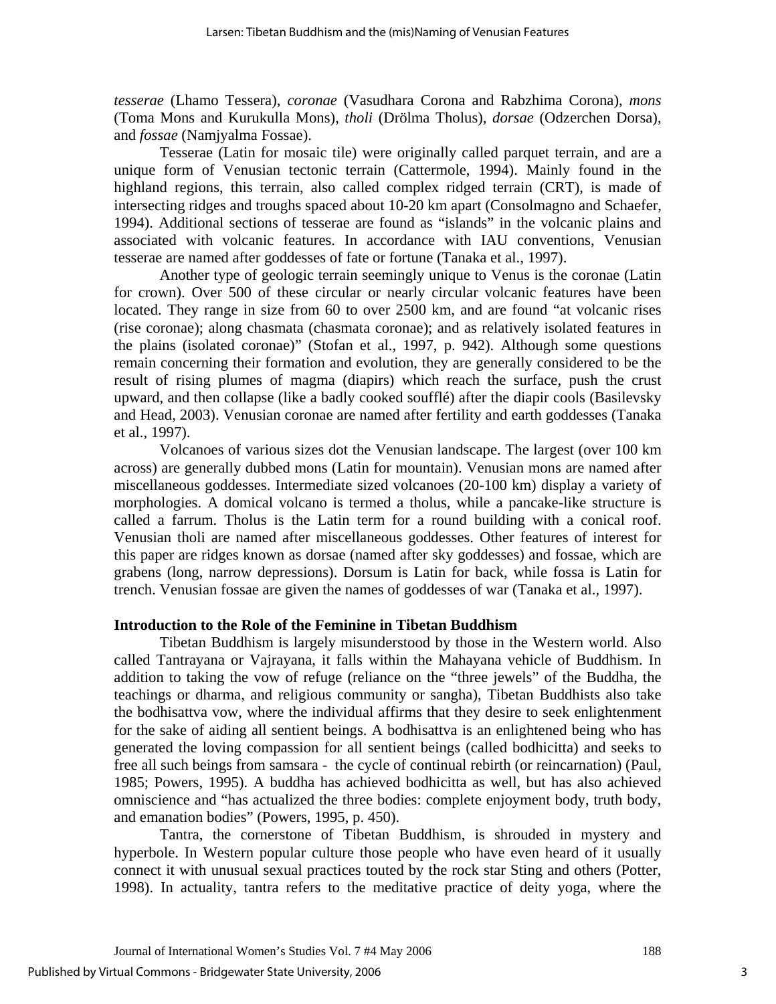*tesserae* (Lhamo Tessera), *coronae* (Vasudhara Corona and Rabzhima Corona), *mons* (Toma Mons and Kurukulla Mons), *tholi* (Drölma Tholus), *dorsae* (Odzerchen Dorsa), and *fossae* (Namjyalma Fossae).

Tesserae (Latin for mosaic tile) were originally called parquet terrain, and are a unique form of Venusian tectonic terrain (Cattermole, 1994). Mainly found in the highland regions, this terrain, also called complex ridged terrain (CRT), is made of intersecting ridges and troughs spaced about 10-20 km apart (Consolmagno and Schaefer, 1994). Additional sections of tesserae are found as "islands" in the volcanic plains and associated with volcanic features. In accordance with IAU conventions, Venusian tesserae are named after goddesses of fate or fortune (Tanaka et al., 1997).

Another type of geologic terrain seemingly unique to Venus is the coronae (Latin for crown). Over 500 of these circular or nearly circular volcanic features have been located. They range in size from 60 to over 2500 km, and are found "at volcanic rises (rise coronae); along chasmata (chasmata coronae); and as relatively isolated features in the plains (isolated coronae)" (Stofan et al., 1997, p. 942). Although some questions remain concerning their formation and evolution, they are generally considered to be the result of rising plumes of magma (diapirs) which reach the surface, push the crust upward, and then collapse (like a badly cooked soufflé) after the diapir cools (Basilevsky and Head, 2003). Venusian coronae are named after fertility and earth goddesses (Tanaka et al., 1997).

Volcanoes of various sizes dot the Venusian landscape. The largest (over 100 km across) are generally dubbed mons (Latin for mountain). Venusian mons are named after miscellaneous goddesses. Intermediate sized volcanoes (20-100 km) display a variety of morphologies. A domical volcano is termed a tholus, while a pancake-like structure is called a farrum. Tholus is the Latin term for a round building with a conical roof. Venusian tholi are named after miscellaneous goddesses. Other features of interest for this paper are ridges known as dorsae (named after sky goddesses) and fossae, which are grabens (long, narrow depressions). Dorsum is Latin for back, while fossa is Latin for trench. Venusian fossae are given the names of goddesses of war (Tanaka et al., 1997).

#### **Introduction to the Role of the Feminine in Tibetan Buddhism**

Tibetan Buddhism is largely misunderstood by those in the Western world. Also called Tantrayana or Vajrayana, it falls within the Mahayana vehicle of Buddhism. In addition to taking the vow of refuge (reliance on the "three jewels" of the Buddha, the teachings or dharma, and religious community or sangha), Tibetan Buddhists also take the bodhisattva vow, where the individual affirms that they desire to seek enlightenment for the sake of aiding all sentient beings. A bodhisattva is an enlightened being who has generated the loving compassion for all sentient beings (called bodhicitta) and seeks to free all such beings from samsara - the cycle of continual rebirth (or reincarnation) (Paul, 1985; Powers, 1995). A buddha has achieved bodhicitta as well, but has also achieved omniscience and "has actualized the three bodies: complete enjoyment body, truth body, and emanation bodies" (Powers, 1995, p. 450).

Tantra, the cornerstone of Tibetan Buddhism, is shrouded in mystery and hyperbole. In Western popular culture those people who have even heard of it usually connect it with unusual sexual practices touted by the rock star Sting and others (Potter, 1998). In actuality, tantra refers to the meditative practice of deity yoga, where the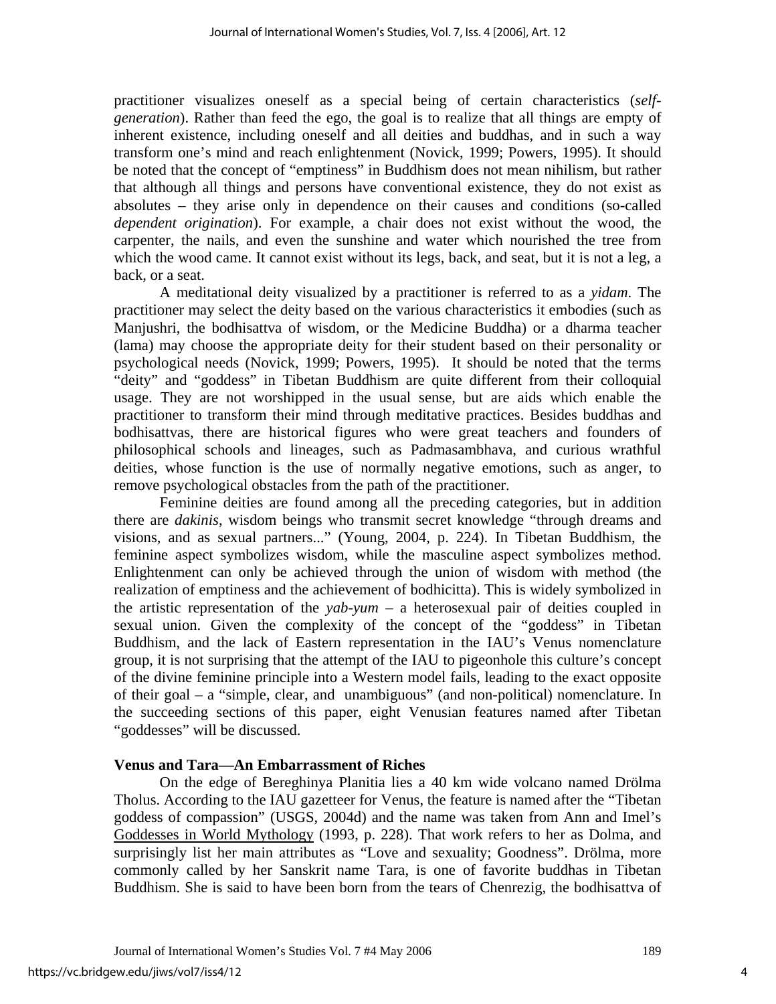practitioner visualizes oneself as a special being of certain characteristics (*selfgeneration*). Rather than feed the ego, the goal is to realize that all things are empty of inherent existence, including oneself and all deities and buddhas, and in such a way transform one's mind and reach enlightenment (Novick, 1999; Powers, 1995). It should be noted that the concept of "emptiness" in Buddhism does not mean nihilism, but rather that although all things and persons have conventional existence, they do not exist as absolutes – they arise only in dependence on their causes and conditions (so-called *dependent origination*). For example, a chair does not exist without the wood, the carpenter, the nails, and even the sunshine and water which nourished the tree from which the wood came. It cannot exist without its legs, back, and seat, but it is not a leg, a back, or a seat.

A meditational deity visualized by a practitioner is referred to as a *yidam*. The practitioner may select the deity based on the various characteristics it embodies (such as Manjushri, the bodhisattva of wisdom, or the Medicine Buddha) or a dharma teacher (lama) may choose the appropriate deity for their student based on their personality or psychological needs (Novick, 1999; Powers, 1995). It should be noted that the terms "deity" and "goddess" in Tibetan Buddhism are quite different from their colloquial usage. They are not worshipped in the usual sense, but are aids which enable the practitioner to transform their mind through meditative practices. Besides buddhas and bodhisattvas, there are historical figures who were great teachers and founders of philosophical schools and lineages, such as Padmasambhava, and curious wrathful deities, whose function is the use of normally negative emotions, such as anger, to remove psychological obstacles from the path of the practitioner.

Feminine deities are found among all the preceding categories, but in addition there are *dakinis*, wisdom beings who transmit secret knowledge "through dreams and visions, and as sexual partners..." (Young, 2004, p. 224). In Tibetan Buddhism, the feminine aspect symbolizes wisdom, while the masculine aspect symbolizes method. Enlightenment can only be achieved through the union of wisdom with method (the realization of emptiness and the achievement of bodhicitta). This is widely symbolized in the artistic representation of the *yab-yum* – a heterosexual pair of deities coupled in sexual union. Given the complexity of the concept of the "goddess" in Tibetan Buddhism, and the lack of Eastern representation in the IAU's Venus nomenclature group, it is not surprising that the attempt of the IAU to pigeonhole this culture's concept of the divine feminine principle into a Western model fails, leading to the exact opposite of their goal – a "simple, clear, and unambiguous" (and non-political) nomenclature. In the succeeding sections of this paper, eight Venusian features named after Tibetan "goddesses" will be discussed.

## **Venus and Tara—An Embarrassment of Riches**

On the edge of Bereghinya Planitia lies a 40 km wide volcano named Drölma Tholus. According to the IAU gazetteer for Venus, the feature is named after the "Tibetan goddess of compassion" (USGS, 2004d) and the name was taken from Ann and Imel's Goddesses in World Mythology (1993, p. 228). That work refers to her as Dolma, and surprisingly list her main attributes as "Love and sexuality; Goodness". Drölma, more commonly called by her Sanskrit name Tara, is one of favorite buddhas in Tibetan Buddhism. She is said to have been born from the tears of Chenrezig, the bodhisattva of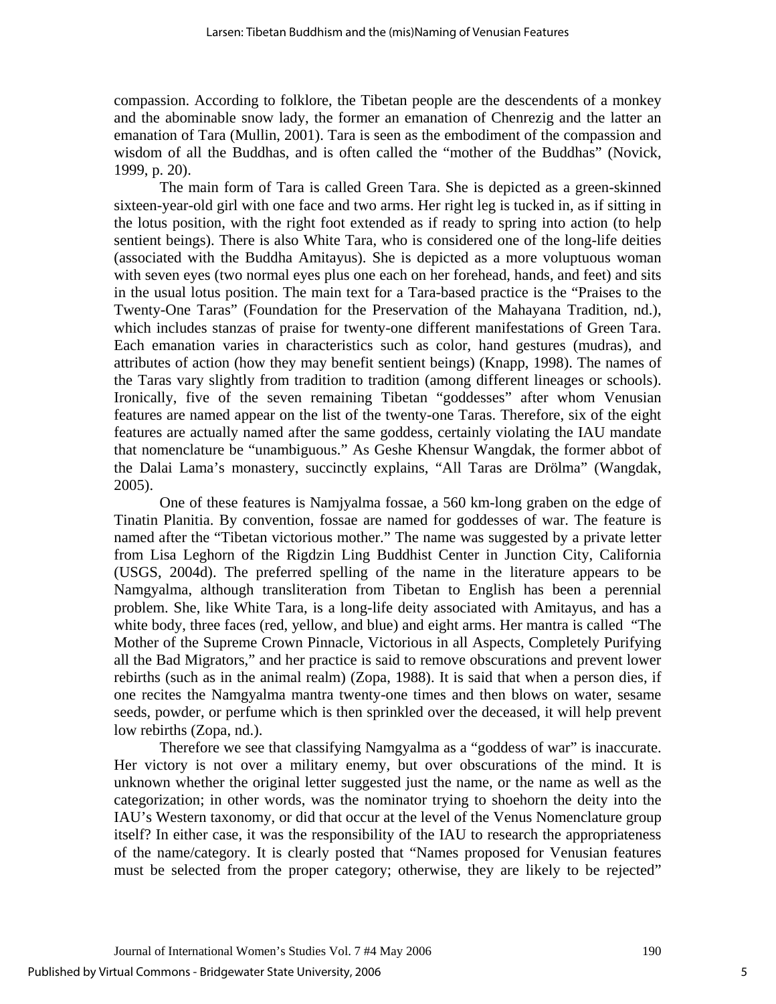compassion. According to folklore, the Tibetan people are the descendents of a monkey and the abominable snow lady, the former an emanation of Chenrezig and the latter an emanation of Tara (Mullin, 2001). Tara is seen as the embodiment of the compassion and wisdom of all the Buddhas, and is often called the "mother of the Buddhas" (Novick, 1999, p. 20).

The main form of Tara is called Green Tara. She is depicted as a green-skinned sixteen-year-old girl with one face and two arms. Her right leg is tucked in, as if sitting in the lotus position, with the right foot extended as if ready to spring into action (to help sentient beings). There is also White Tara, who is considered one of the long-life deities (associated with the Buddha Amitayus). She is depicted as a more voluptuous woman with seven eyes (two normal eyes plus one each on her forehead, hands, and feet) and sits in the usual lotus position. The main text for a Tara-based practice is the "Praises to the Twenty-One Taras" (Foundation for the Preservation of the Mahayana Tradition, nd.), which includes stanzas of praise for twenty-one different manifestations of Green Tara. Each emanation varies in characteristics such as color, hand gestures (mudras), and attributes of action (how they may benefit sentient beings) (Knapp, 1998). The names of the Taras vary slightly from tradition to tradition (among different lineages or schools). Ironically, five of the seven remaining Tibetan "goddesses" after whom Venusian features are named appear on the list of the twenty-one Taras. Therefore, six of the eight features are actually named after the same goddess, certainly violating the IAU mandate that nomenclature be "unambiguous." As Geshe Khensur Wangdak, the former abbot of the Dalai Lama's monastery, succinctly explains, "All Taras are Drölma" (Wangdak, 2005).

One of these features is Namjyalma fossae, a 560 km-long graben on the edge of Tinatin Planitia. By convention, fossae are named for goddesses of war. The feature is named after the "Tibetan victorious mother." The name was suggested by a private letter from Lisa Leghorn of the Rigdzin Ling Buddhist Center in Junction City, California (USGS, 2004d). The preferred spelling of the name in the literature appears to be Namgyalma, although transliteration from Tibetan to English has been a perennial problem. She, like White Tara, is a long-life deity associated with Amitayus, and has a white body, three faces (red, yellow, and blue) and eight arms. Her mantra is called "The Mother of the Supreme Crown Pinnacle, Victorious in all Aspects, Completely Purifying all the Bad Migrators," and her practice is said to remove obscurations and prevent lower rebirths (such as in the animal realm) (Zopa, 1988). It is said that when a person dies, if one recites the Namgyalma mantra twenty-one times and then blows on water, sesame seeds, powder, or perfume which is then sprinkled over the deceased, it will help prevent low rebirths (Zopa, nd.).

Therefore we see that classifying Namgyalma as a "goddess of war" is inaccurate. Her victory is not over a military enemy, but over obscurations of the mind. It is unknown whether the original letter suggested just the name, or the name as well as the categorization; in other words, was the nominator trying to shoehorn the deity into the IAU's Western taxonomy, or did that occur at the level of the Venus Nomenclature group itself? In either case, it was the responsibility of the IAU to research the appropriateness of the name/category. It is clearly posted that "Names proposed for Venusian features must be selected from the proper category; otherwise, they are likely to be rejected"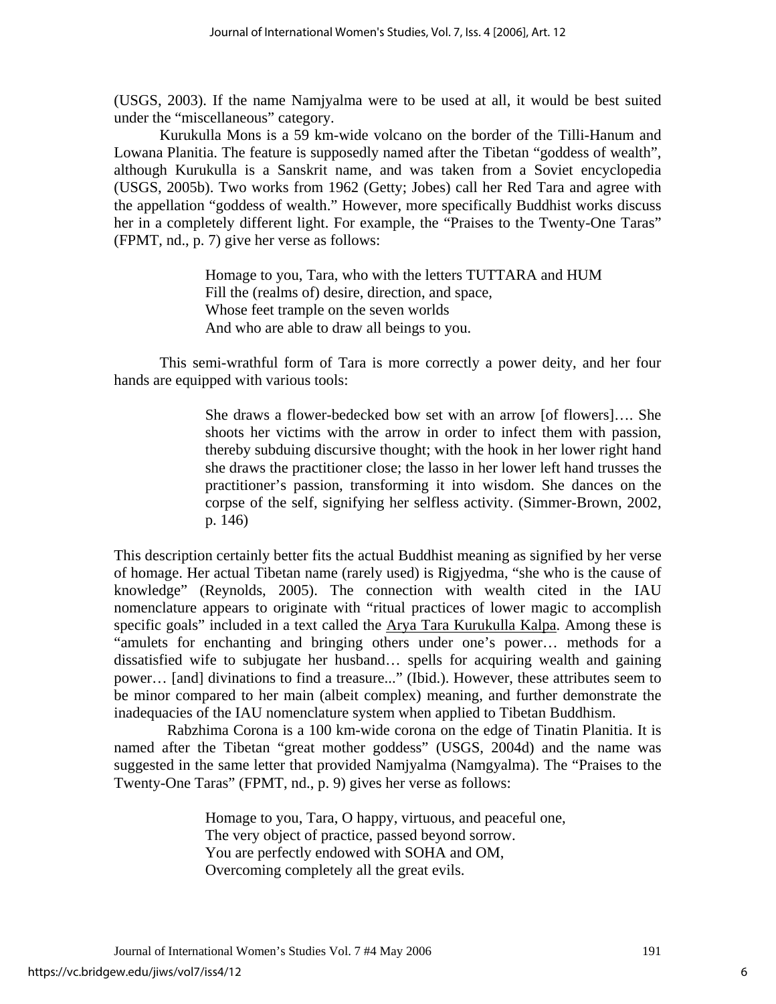(USGS, 2003). If the name Namjyalma were to be used at all, it would be best suited under the "miscellaneous" category.

Kurukulla Mons is a 59 km-wide volcano on the border of the Tilli-Hanum and Lowana Planitia. The feature is supposedly named after the Tibetan "goddess of wealth", although Kurukulla is a Sanskrit name, and was taken from a Soviet encyclopedia (USGS, 2005b). Two works from 1962 (Getty; Jobes) call her Red Tara and agree with the appellation "goddess of wealth." However, more specifically Buddhist works discuss her in a completely different light. For example, the "Praises to the Twenty-One Taras" (FPMT, nd., p. 7) give her verse as follows:

> Homage to you, Tara, who with the letters TUTTARA and HUM Fill the (realms of) desire, direction, and space, Whose feet trample on the seven worlds And who are able to draw all beings to you.

This semi-wrathful form of Tara is more correctly a power deity, and her four hands are equipped with various tools:

> She draws a flower-bedecked bow set with an arrow [of flowers]…. She shoots her victims with the arrow in order to infect them with passion, thereby subduing discursive thought; with the hook in her lower right hand she draws the practitioner close; the lasso in her lower left hand trusses the practitioner's passion, transforming it into wisdom. She dances on the corpse of the self, signifying her selfless activity. (Simmer-Brown, 2002, p. 146)

This description certainly better fits the actual Buddhist meaning as signified by her verse of homage. Her actual Tibetan name (rarely used) is Rigjyedma, "she who is the cause of knowledge" (Reynolds, 2005). The connection with wealth cited in the IAU nomenclature appears to originate with "ritual practices of lower magic to accomplish specific goals" included in a text called the Arya Tara Kurukulla Kalpa. Among these is "amulets for enchanting and bringing others under one's power… methods for a dissatisfied wife to subjugate her husband… spells for acquiring wealth and gaining power… [and] divinations to find a treasure..." (Ibid.). However, these attributes seem to be minor compared to her main (albeit complex) meaning, and further demonstrate the inadequacies of the IAU nomenclature system when applied to Tibetan Buddhism.

 Rabzhima Corona is a 100 km-wide corona on the edge of Tinatin Planitia. It is named after the Tibetan "great mother goddess" (USGS, 2004d) and the name was suggested in the same letter that provided Namjyalma (Namgyalma). The "Praises to the Twenty-One Taras" (FPMT, nd., p. 9) gives her verse as follows:

> Homage to you, Tara, O happy, virtuous, and peaceful one, The very object of practice, passed beyond sorrow. You are perfectly endowed with SOHA and OM, Overcoming completely all the great evils.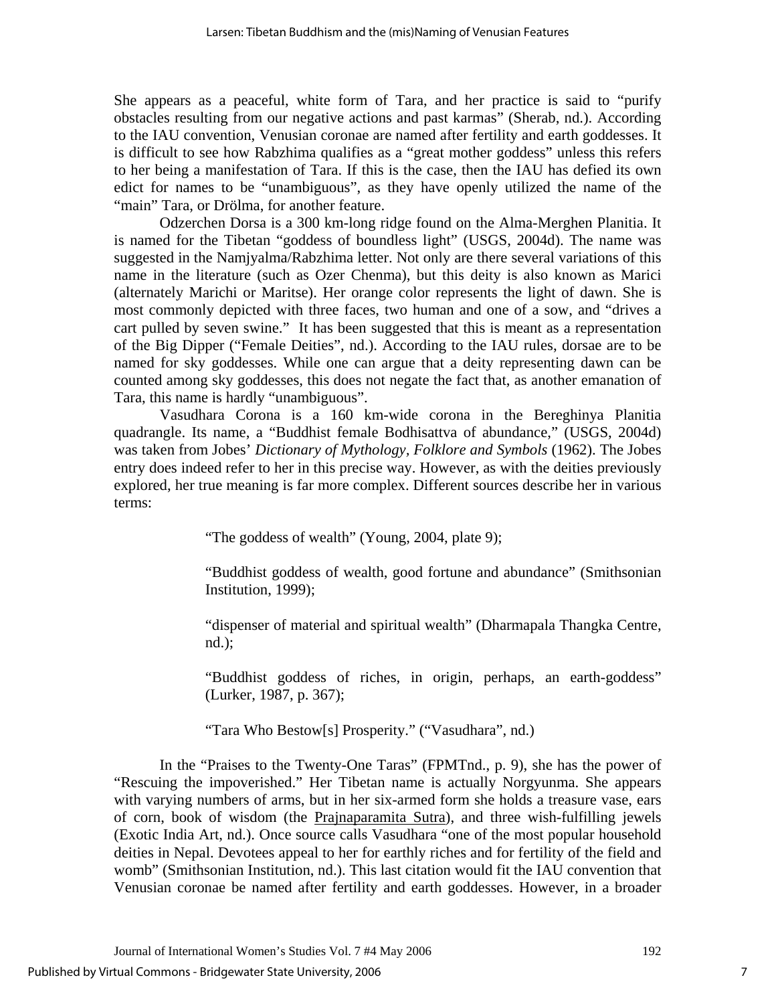She appears as a peaceful, white form of Tara, and her practice is said to "purify obstacles resulting from our negative actions and past karmas" (Sherab, nd.). According to the IAU convention, Venusian coronae are named after fertility and earth goddesses. It is difficult to see how Rabzhima qualifies as a "great mother goddess" unless this refers to her being a manifestation of Tara. If this is the case, then the IAU has defied its own edict for names to be "unambiguous", as they have openly utilized the name of the "main" Tara, or Drölma, for another feature.

Odzerchen Dorsa is a 300 km-long ridge found on the Alma-Merghen Planitia. It is named for the Tibetan "goddess of boundless light" (USGS, 2004d). The name was suggested in the Namjyalma/Rabzhima letter. Not only are there several variations of this name in the literature (such as Ozer Chenma), but this deity is also known as Marici (alternately Marichi or Maritse). Her orange color represents the light of dawn. She is most commonly depicted with three faces, two human and one of a sow, and "drives a cart pulled by seven swine." It has been suggested that this is meant as a representation of the Big Dipper ("Female Deities", nd.). According to the IAU rules, dorsae are to be named for sky goddesses. While one can argue that a deity representing dawn can be counted among sky goddesses, this does not negate the fact that, as another emanation of Tara, this name is hardly "unambiguous".

Vasudhara Corona is a 160 km-wide corona in the Bereghinya Planitia quadrangle. Its name, a "Buddhist female Bodhisattva of abundance," (USGS, 2004d) was taken from Jobes' *Dictionary of Mythology, Folklore and Symbols* (1962). The Jobes entry does indeed refer to her in this precise way. However, as with the deities previously explored, her true meaning is far more complex. Different sources describe her in various terms:

"The goddess of wealth" (Young, 2004, plate 9);

"Buddhist goddess of wealth, good fortune and abundance" (Smithsonian Institution, 1999);

"dispenser of material and spiritual wealth" (Dharmapala Thangka Centre, nd.);

"Buddhist goddess of riches, in origin, perhaps, an earth-goddess" (Lurker, 1987, p. 367);

"Tara Who Bestow[s] Prosperity." ("Vasudhara", nd.)

In the "Praises to the Twenty-One Taras" (FPMTnd., p. 9), she has the power of "Rescuing the impoverished." Her Tibetan name is actually Norgyunma. She appears with varying numbers of arms, but in her six-armed form she holds a treasure vase, ears of corn, book of wisdom (the Prajnaparamita Sutra), and three wish-fulfilling jewels (Exotic India Art, nd.). Once source calls Vasudhara "one of the most popular household deities in Nepal. Devotees appeal to her for earthly riches and for fertility of the field and womb" (Smithsonian Institution, nd.). This last citation would fit the IAU convention that Venusian coronae be named after fertility and earth goddesses. However, in a broader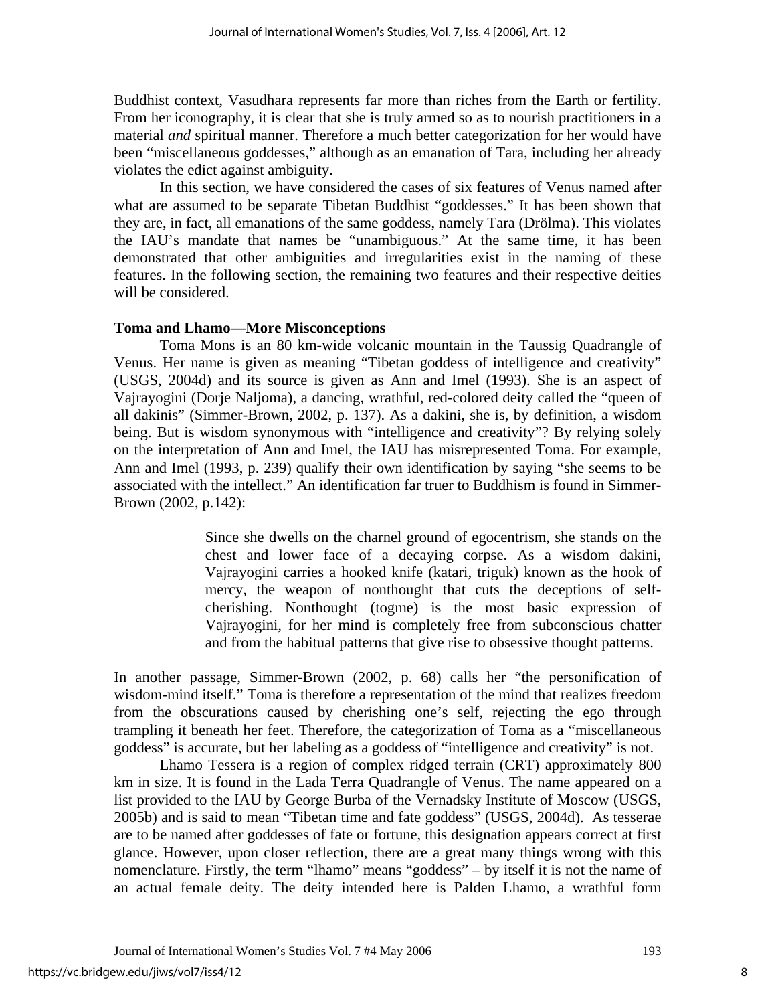Buddhist context, Vasudhara represents far more than riches from the Earth or fertility. From her iconography, it is clear that she is truly armed so as to nourish practitioners in a material *and* spiritual manner. Therefore a much better categorization for her would have been "miscellaneous goddesses," although as an emanation of Tara, including her already violates the edict against ambiguity.

In this section, we have considered the cases of six features of Venus named after what are assumed to be separate Tibetan Buddhist "goddesses." It has been shown that they are, in fact, all emanations of the same goddess, namely Tara (Drölma). This violates the IAU's mandate that names be "unambiguous." At the same time, it has been demonstrated that other ambiguities and irregularities exist in the naming of these features. In the following section, the remaining two features and their respective deities will be considered.

#### **Toma and Lhamo—More Misconceptions**

Toma Mons is an 80 km-wide volcanic mountain in the Taussig Quadrangle of Venus. Her name is given as meaning "Tibetan goddess of intelligence and creativity" (USGS, 2004d) and its source is given as Ann and Imel (1993). She is an aspect of Vajrayogini (Dorje Naljoma), a dancing, wrathful, red-colored deity called the "queen of all dakinis" (Simmer-Brown, 2002, p. 137). As a dakini, she is, by definition, a wisdom being. But is wisdom synonymous with "intelligence and creativity"? By relying solely on the interpretation of Ann and Imel, the IAU has misrepresented Toma. For example, Ann and Imel (1993, p. 239) qualify their own identification by saying "she seems to be associated with the intellect." An identification far truer to Buddhism is found in Simmer-Brown (2002, p.142):

> Since she dwells on the charnel ground of egocentrism, she stands on the chest and lower face of a decaying corpse. As a wisdom dakini, Vajrayogini carries a hooked knife (katari, triguk) known as the hook of mercy, the weapon of nonthought that cuts the deceptions of selfcherishing. Nonthought (togme) is the most basic expression of Vajrayogini, for her mind is completely free from subconscious chatter and from the habitual patterns that give rise to obsessive thought patterns.

In another passage, Simmer-Brown (2002, p. 68) calls her "the personification of wisdom-mind itself." Toma is therefore a representation of the mind that realizes freedom from the obscurations caused by cherishing one's self, rejecting the ego through trampling it beneath her feet. Therefore, the categorization of Toma as a "miscellaneous goddess" is accurate, but her labeling as a goddess of "intelligence and creativity" is not.

Lhamo Tessera is a region of complex ridged terrain (CRT) approximately 800 km in size. It is found in the Lada Terra Quadrangle of Venus. The name appeared on a list provided to the IAU by George Burba of the Vernadsky Institute of Moscow (USGS, 2005b) and is said to mean "Tibetan time and fate goddess" (USGS, 2004d). As tesserae are to be named after goddesses of fate or fortune, this designation appears correct at first glance. However, upon closer reflection, there are a great many things wrong with this nomenclature. Firstly, the term "lhamo" means "goddess" – by itself it is not the name of an actual female deity. The deity intended here is Palden Lhamo, a wrathful form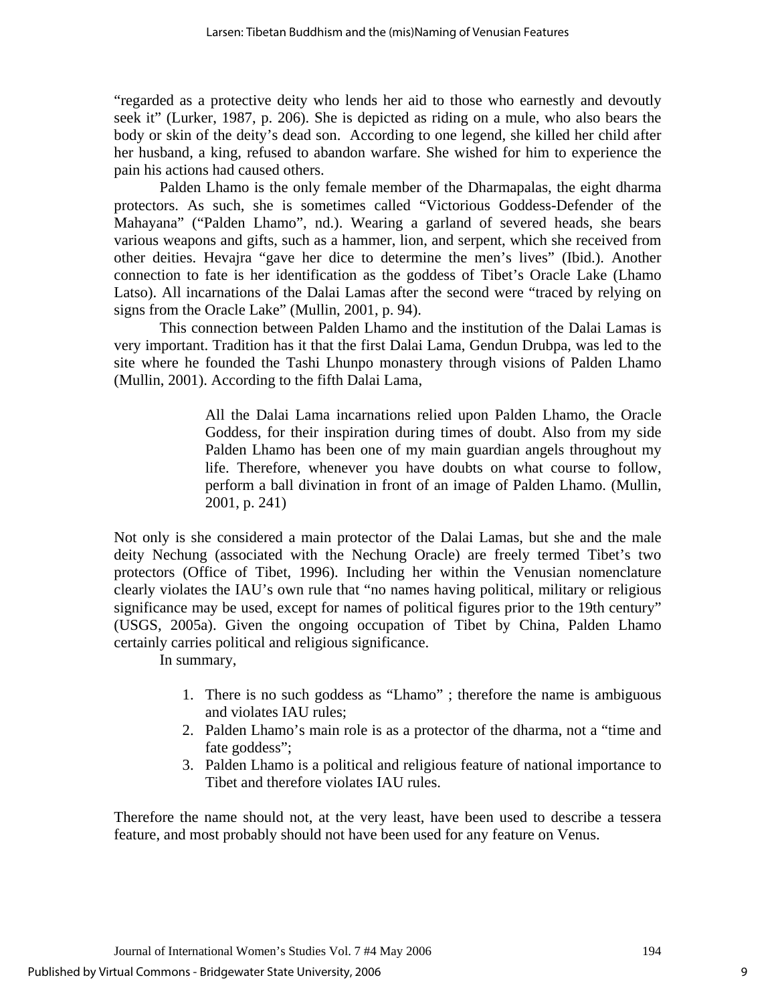"regarded as a protective deity who lends her aid to those who earnestly and devoutly seek it" (Lurker, 1987, p. 206). She is depicted as riding on a mule, who also bears the body or skin of the deity's dead son. According to one legend, she killed her child after her husband, a king, refused to abandon warfare. She wished for him to experience the pain his actions had caused others.

Palden Lhamo is the only female member of the Dharmapalas, the eight dharma protectors. As such, she is sometimes called "Victorious Goddess-Defender of the Mahayana" ("Palden Lhamo", nd.). Wearing a garland of severed heads, she bears various weapons and gifts, such as a hammer, lion, and serpent, which she received from other deities. Hevajra "gave her dice to determine the men's lives" (Ibid.). Another connection to fate is her identification as the goddess of Tibet's Oracle Lake (Lhamo Latso). All incarnations of the Dalai Lamas after the second were "traced by relying on signs from the Oracle Lake" (Mullin, 2001, p. 94).

This connection between Palden Lhamo and the institution of the Dalai Lamas is very important. Tradition has it that the first Dalai Lama, Gendun Drubpa, was led to the site where he founded the Tashi Lhunpo monastery through visions of Palden Lhamo (Mullin, 2001). According to the fifth Dalai Lama,

> All the Dalai Lama incarnations relied upon Palden Lhamo, the Oracle Goddess, for their inspiration during times of doubt. Also from my side Palden Lhamo has been one of my main guardian angels throughout my life. Therefore, whenever you have doubts on what course to follow, perform a ball divination in front of an image of Palden Lhamo. (Mullin, 2001, p. 241)

Not only is she considered a main protector of the Dalai Lamas, but she and the male deity Nechung (associated with the Nechung Oracle) are freely termed Tibet's two protectors (Office of Tibet, 1996). Including her within the Venusian nomenclature clearly violates the IAU's own rule that "no names having political, military or religious significance may be used, except for names of political figures prior to the 19th century" (USGS, 2005a). Given the ongoing occupation of Tibet by China, Palden Lhamo certainly carries political and religious significance.

In summary,

- 1. There is no such goddess as "Lhamo" ; therefore the name is ambiguous and violates IAU rules;
- 2. Palden Lhamo's main role is as a protector of the dharma, not a "time and fate goddess";
- 3. Palden Lhamo is a political and religious feature of national importance to Tibet and therefore violates IAU rules.

Therefore the name should not, at the very least, have been used to describe a tessera feature, and most probably should not have been used for any feature on Venus.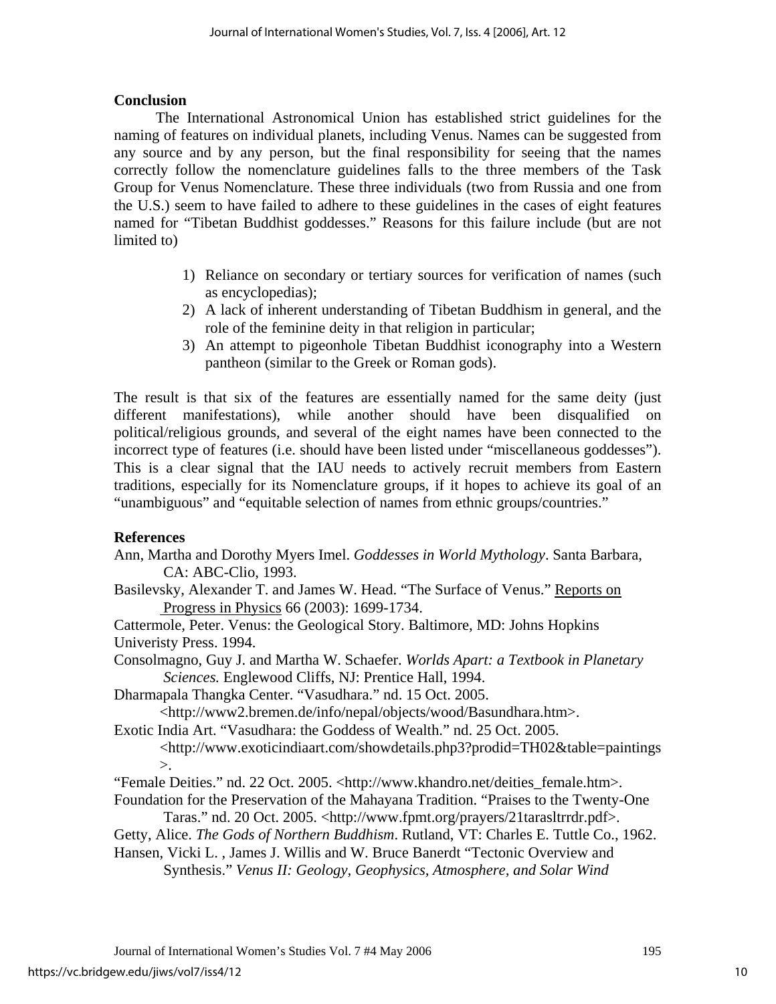## **Conclusion**

 The International Astronomical Union has established strict guidelines for the naming of features on individual planets, including Venus. Names can be suggested from any source and by any person, but the final responsibility for seeing that the names correctly follow the nomenclature guidelines falls to the three members of the Task Group for Venus Nomenclature. These three individuals (two from Russia and one from the U.S.) seem to have failed to adhere to these guidelines in the cases of eight features named for "Tibetan Buddhist goddesses." Reasons for this failure include (but are not limited to)

- 1) Reliance on secondary or tertiary sources for verification of names (such as encyclopedias);
- 2) A lack of inherent understanding of Tibetan Buddhism in general, and the role of the feminine deity in that religion in particular;
- 3) An attempt to pigeonhole Tibetan Buddhist iconography into a Western pantheon (similar to the Greek or Roman gods).

The result is that six of the features are essentially named for the same deity (just different manifestations), while another should have been disqualified on political/religious grounds, and several of the eight names have been connected to the incorrect type of features (i.e. should have been listed under "miscellaneous goddesses"). This is a clear signal that the IAU needs to actively recruit members from Eastern traditions, especially for its Nomenclature groups, if it hopes to achieve its goal of an "unambiguous" and "equitable selection of names from ethnic groups/countries."

## **References**

- Ann, Martha and Dorothy Myers Imel. *Goddesses in World Mythology*. Santa Barbara, CA: ABC-Clio, 1993.
- Basilevsky, Alexander T. and James W. Head. "The Surface of Venus." Reports on Progress in Physics 66 (2003): 1699-1734.

Cattermole, Peter. Venus: the Geological Story. Baltimore, MD: Johns Hopkins Univeristy Press. 1994.

Consolmagno, Guy J. and Martha W. Schaefer. *Worlds Apart: a Textbook in Planetary Sciences.* Englewood Cliffs, NJ: Prentice Hall, 1994.

Dharmapala Thangka Center. "Vasudhara." nd. 15 Oct. 2005.

<[http://www2.bremen.de/info/nepal/objects/wood/Basundhara.htm>](http://www2.bremen.de/info/nepal/objects/wood/Basundhara.htm).

Exotic India Art. "Vasudhara: the Goddess of Wealth." nd. 25 Oct. 2005.

 <<http://www.exoticindiaart.com/showdetails.php3?prodid=TH02&table=paintings>  $\mathcal{L}$ 

"Female Deities." nd. 22 Oct. 2005. [<http://www.khandro.net/deities\\_female.htm>](http://www.khandro.net/deities_female.htm).

Foundation for the Preservation of the Mahayana Tradition. "Praises to the Twenty-One Taras." nd. 20 Oct. 2005. [<http://www.fpmt.org/prayers/21tarasltrrdr.pdf>](http://www.fpmt.org/prayers/21tarasltrrdr.pdf).

Getty, Alice. *The Gods of Northern Buddhism*. Rutland, VT: Charles E. Tuttle Co., 1962.

Hansen, Vicki L. , James J. Willis and W. Bruce Banerdt "Tectonic Overview and Synthesis." *Venus II: Geology, Geophysics, Atmosphere, and Solar Wind*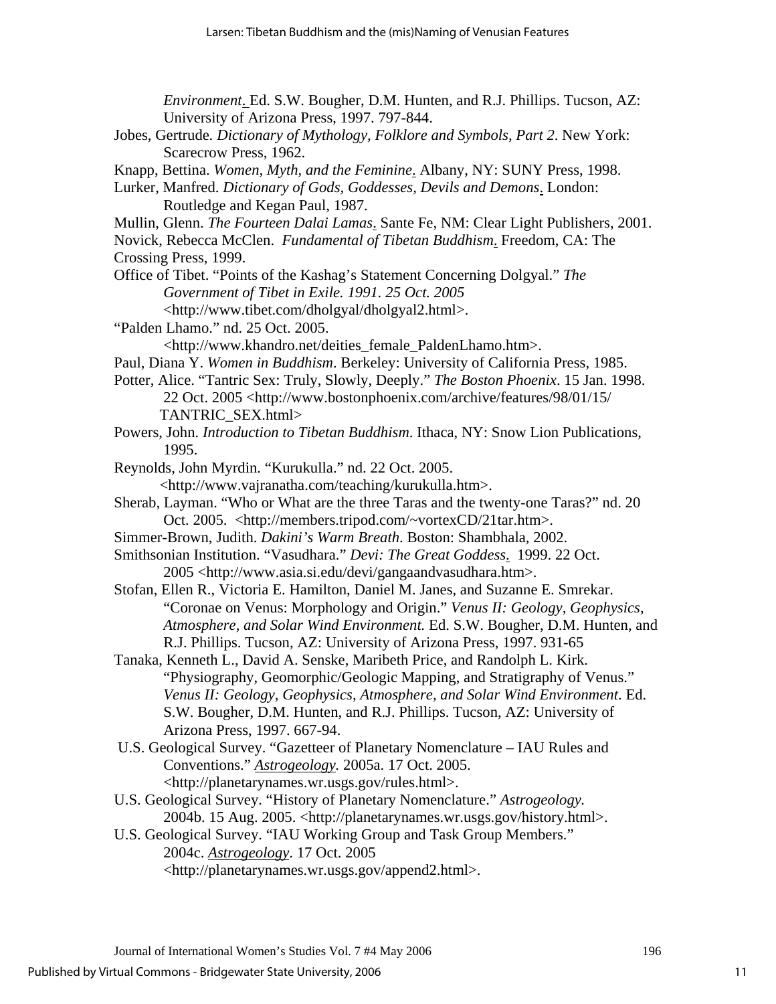*Environment*. Ed. S.W. Bougher, D.M. Hunten, and R.J. Phillips. Tucson, AZ: University of Arizona Press, 1997. 797-844.

- Jobes, Gertrude*. Dictionary of Mythology, Folklore and Symbols, Part 2*. New York: Scarecrow Press, 1962.
- Knapp, Bettina. *Women, Myth, and the Feminine*. Albany, NY: SUNY Press, 1998.
- Lurker, Manfred. *Dictionary of Gods, Goddesses, Devils and Demons*. London: Routledge and Kegan Paul, 1987.
- Mullin, Glenn. *The Fourteen Dalai Lamas*. Sante Fe, NM: Clear Light Publishers, 2001.
- Novick, Rebecca McClen. *Fundamental of Tibetan Buddhism*. Freedom, CA: The Crossing Press, 1999.
- Office of Tibet. "Points of the Kashag's Statement Concerning Dolgyal." *The Government of Tibet in Exile. 1991. 25 Oct. 2005* 
	- <<http://www.tibet.com/dholgyal/dholgyal2.html>>.
- "Palden Lhamo." nd. 25 Oct. 2005.
	- <[http://www.khandro.net/deities\\_female\\_PaldenLhamo.htm>](http://www.khandro.net/deities_female_PaldenLhamo.htm).
- Paul, Diana Y. *Women in Buddhism*. Berkeley: University of California Press, 1985.
- Potter, Alice. "Tantric Sex: Truly, Slowly, Deeply." *The Boston Phoenix*. 15 Jan. 1998. 22 Oct. 2005 [<http://www.bostonphoenix.com/archive/features/98/01/15/](http://www.bostonphoenix.com/archive/features/98/01/15/) TANTRIC\_SEX.html>
- Powers, John. *Introduction to Tibetan Buddhism*. Ithaca, NY: Snow Lion Publications, 1995.
- Reynolds, John Myrdin. "Kurukulla." nd. 22 Oct. 2005. <http:/[/www.vajranatha.com/teaching/kurukulla.htm>](http://www.vajranatha.com/teaching/kurukulla.htm).
- Sherab, Layman. "Who or What are the three Taras and the twenty-one Taras?" nd. 20 Oct. 2005. [<http://members.tripod.com/~vortexCD/21tar.htm>.](http://members.tripod.com/~vortexCD/21tar.htm>.  Accessed October 20)
- Simmer-Brown, Judith. *Dakini's Warm Breath*. Boston: Shambhala, 2002.
- Smithsonian Institution. "Vasudhara." *Devi: The Great Goddess*. 1999. 22 Oct. 2005 <<http://www.asia.si.edu/devi/gangaandvasudhara.htm>>.
- Stofan, Ellen R., Victoria E. Hamilton, Daniel M. Janes, and Suzanne E. Smrekar. "Coronae on Venus: Morphology and Origin." *Venus II: Geology, Geophysics, Atmosphere, and Solar Wind Environment.* Ed. S.W. Bougher, D.M. Hunten, and R.J. Phillips. Tucson, AZ: University of Arizona Press, 1997. 931-65
- Tanaka, Kenneth L., David A. Senske, Maribeth Price, and Randolph L. Kirk. "Physiography, Geomorphic/Geologic Mapping, and Stratigraphy of Venus." *Venus II: Geology, Geophysics, Atmosphere, and Solar Wind Environment*. Ed. S.W. Bougher, D.M. Hunten, and R.J. Phillips. Tucson, AZ: University of Arizona Press, 1997. 667-94.
- U.S. Geological Survey. "Gazetteer of Planetary Nomenclature IAU Rules and Conventions." *Astrogeology.* 2005a. 17 Oct. 2005. <<http://planetarynames.wr.usgs.gov/rules.html>>.
- U.S. Geological Survey. "History of Planetary Nomenclature." *Astrogeology.*  2004b. 15 Aug. 2005. [<http://planetarynames.wr.usgs.gov/history.html](http://planetarynames.wr.usgs.gov/history.html)>.
- U.S. Geological Survey. "IAU Working Group and Task Group Members." 2004c. *Astrogeology*. 17 Oct. 2005 <[http://planetarynames.wr.usgs.gov/append2.html>](http://planetarynames.wr.usgs.gov/append2.html).